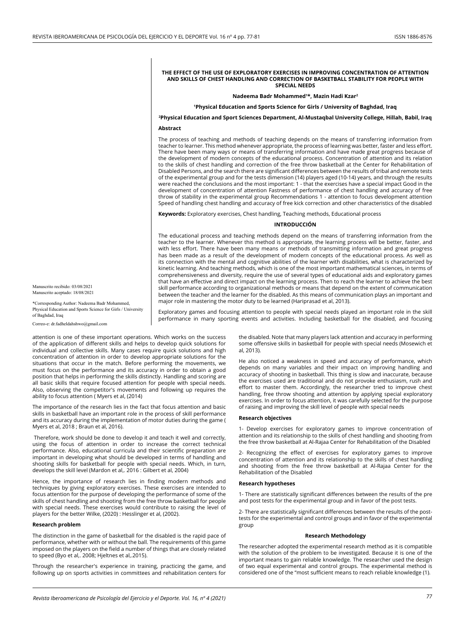#### **THE EFFECT OF THE USE OF EXPLORATORY EXERCISES IN IMPROVING CONCENTRATION OF ATTENTION AND SKILLS OF CHEST HANDLING AND CORRECTION OF BASKETBALL STABILITY FOR PEOPLE WITH SPECIAL NEEDS**

#### **Nadeema Badr Mohammed1 \*, Mazin Hadi Kzar2**

#### **1Physical Education and Sports Science for Girls / University of Baghdad, Iraq**

# **2 Physical Education and Sport Sciences Department, Al-Mustaqbal University College, Hillah, Babil, Iraq Abstract**

The process of teaching and methods of teaching depends on the means of transferring information from teacher to learner. This method whenever appropriate, the process of learning was better, faster and less effort. There have been many ways or means of transferring information and have made great progress because of the development of modern concepts of the educational process. Concentration of attention and its relation to the skills of chest handling and correction of the free throw basketball at the Center for Rehabilitation of Disabled Persons, and the search there are significant differences between the results of tribal and remote tests of the experimental group and for the tests dimension (14) players aged (10-14) years, and through the results were reached the conclusions and the most important: 1 - that the exercises have a special impact Good in the development of concentration of attention Fastness of performance of chest handling and accuracy of free throw of stability in the experimental group Recommendations 1 - attention to focus development attention Speed of handling chest handling and accuracy of free kick correction and other characteristics of the disabled

**Keywords:** Exploratory exercises, Chest handling, Teaching methods, Educational process

## **INTRODUCCIÓN**

The educational process and teaching methods depend on the means of transferring information from the teacher to the learner. Whenever this method is appropriate, the learning process will be better, faster, and with less effort. There have been many means or methods of transmitting information and great progress has been made as a result of the development of modern concepts of the educational process. As well as its connection with the mental and cognitive abilities of the learner with disabilities, what is characterized by kinetic learning. And teaching methods, which is one of the most important mathematical sciences, in terms of comprehensiveness and diversity, require the use of several types of educational aids and exploratory games that have an effective and direct impact on the learning process. Then to reach the learner to achieve the best skill performance according to organizational methods or means that depend on the extent of communication between the teacher and the learner for the disabled. As this means of communication plays an important and major role in mastering the motor duty to be learned (Hariprasad et al, 2013).

Exploratory games and focusing attention to people with special needs played an important role in the skill performance in many sporting events and activities. Including basketball for the disabled, and focusing

Manuscrito recibido: 03/08/2021 Manuscrito aceptado: 18/08/2021

\*Corresponding Author: Nadeema Badr Mohammed, Physical Education and Sports Science for Girls / University of Baghdad, Iraq

Correo-e: dr.fadheldahshwo@gmail.com

attention is one of these important operations. Which works on the success of the application of different skills and helps to develop quick solutions for individual and collective skills. Many cases require quick solutions and high concentration of attention in order to develop appropriate solutions for the situations that occur in the match. Before performing the movements, we must focus on the performance and its accuracy in order to obtain a good position that helps in performing the skills distinctly. Handling and scoring are all basic skills that require focused attention for people with special needs. Also, observing the competitor's movements and following up requires the ability to focus attention ( Myers et al, (2014)

The importance of the research lies in the fact that focus attention and basic skills in basketball have an important role in the process of skill performance and its accuracy during the implementation of motor duties during the game ( Myers et al, 2018 ; Braun et al, 2016).

 Therefore, work should be done to develop it and teach it well and correctly, using the focus of attention in order to increase the correct technical performance. Also, educational curricula and their scientific preparation are important in developing what should be developed in terms of handling and shooting skills for basketball for people with special needs. Which, in turn, develops the skill level (Mardon et al,. 2016 : Gilbert et al, 2004)

Hence, the importance of research lies in finding modern methods and techniques by giving exploratory exercises. These exercises are intended to focus attention for the purpose of developing the performance of some of the skills of chest handling and shooting from the free throw basketball for people with special needs. These exercises would contribute to raising the level of players for the better Wilke, (2020) : Hesslinger et al, (2002).

#### **Research problem**

The distinction in the game of basketball for the disabled is the rapid pace of performance, whether with or without the ball. The requirements of this game imposed on the players on the field a number of things that are closely related to speed (Byo et al,. 2008; Hjeltnes et al,.2015).

Through the researcher's experience in training, practicing the game, and following up on sports activities in committees and rehabilitation centers for

the disabled. Note that many players lack attention and accuracy in performing some offensive skills in basketball for people with special needs (Mosewich et al, 2013).

He also noticed a weakness in speed and accuracy of performance, which depends on many variables and their impact on improving handling and accuracy of shooting in basketball. This thing is slow and inaccurate, because the exercises used are traditional and do not provoke enthusiasm, rush and effort to master them. Accordingly, the researcher tried to improve chest handling, free throw shooting and attention by applying special exploratory exercises. In order to focus attention, it was carefully selected for the purpose of raising and improving the skill level of people with special needs

#### **Research objectives**

1- Develop exercises for exploratory games to improve concentration of attention and its relationship to the skills of chest handling and shooting from the free throw basketball at Al-Rajaa Center for Rehabilitation of the Disabled

2- Recognizing the effect of exercises for exploratory games to improve concentration of attention and its relationship to the skills of chest handling and shooting from the free throw basketball at Al-Rajaa Center for the Rehabilitation of the Disabled

#### **Research hypotheses**

1- There are statistically significant differences between the results of the pre and post tests for the experimental group and in favor of the post tests.

2- There are statistically significant differences between the results of the posttests for the experimental and control groups and in favor of the experimental group

#### **Research Methodology**

The researcher adopted the experimental research method as it is compatible with the solution of the problem to be investigated. Because it is one of the important means to gain reliable knowledge. The researcher used the design of two equal experimental and control groups. The experimental method is considered one of the "most sufficient means to reach reliable knowledge (1).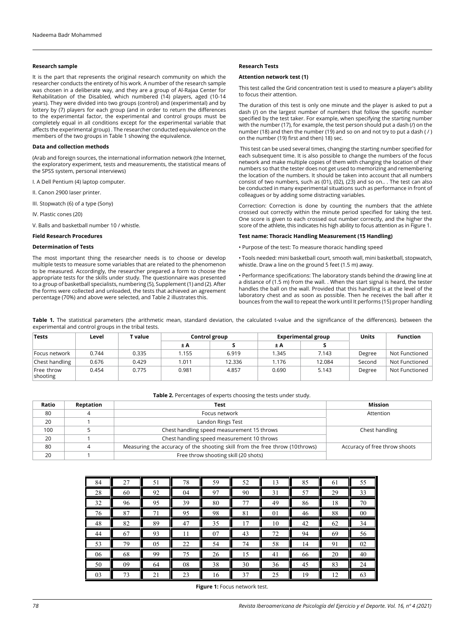## **Research sample**

It is the part that represents the original research community on which the researcher conducts the entirety of his work. A number of the research sample was chosen in a deliberate way, and they are a group of Al-Rajaa Center for Rehabilitation of the Disabled, which numbered (14) players, aged (10-14 years). They were divided into two groups (control) and (experimental) and by lottery by (7) players for each group (and in order to return the differences to the experimental factor, the experimental and control groups must be completely equal in all conditions except for the experimental variable that affects the experimental group) . The researcher conducted equivalence on the members of the two groups in Table 1 showing the equivalence.

# **Data and collection methods**

(Arab and foreign sources, the international information network (the Internet, the exploratory experiment, tests and measurements, the statistical means of the SPSS system, personal interviews)

I. A Dell Pentium (4) laptop computer.

II. Canon 2900 laser printer.

III. Stopwatch (6) of a type (Sony)

IV. Plastic cones (20)

V. Balls and basketball number 10 / whistle.

# **Field Research Procedures**

## **Determination of Tests**

The most important thing the researcher needs is to choose or develop multiple tests to measure some variables that are related to the phenomenon to be measured. Accordingly, the researcher prepared a form to choose the appropriate tests for the skills under study. The questionnaire was presented to a group of basketball specialists, numbering (5), Supplement (1) and (2). After the forms were collected and unloaded, the tests that achieved an agreement percentage (70%) and above were selected, and Table 2 illustrates this.

# **Research Tests**

#### **Attention network test (1)**

This test called the Grid concentration test is used to measure a player's ability to focus their attention.

The duration of this test is only one minute and the player is asked to put a dash (/) on the largest number of numbers that follow the specific number specified by the test taker. For example, when specifying the starting number with the number (17), for example, the test person should put a dash (/) on the number (18) and then the number (19) and so on and not try to put a dash ( / ) on the number (19) first and then) 18) sec.

 This test can be used several times, changing the starting number specified for each subsequent time. It is also possible to change the numbers of the focus network and make multiple copies of them with changing the location of their numbers so that the tester does not get used to memorizing and remembering the location of the numbers. It should be taken into account that all numbers consist of two numbers, such as (01), (02), (23) and so on.. . The test can also be conducted in many experimental situations such as performance in front of colleagues or by adding some distracting variables.

Correction: Correction is done by counting the numbers that the athlete crossed out correctly within the minute period specified for taking the test. One score is given to each crossed out number correctly, and the higher the score of the athlete, this indicates his high ability to focus attention as in Figure 1.

## **Test name: Thoracic Handling Measurement (15 Handling)**

• Purpose of the test: To measure thoracic handling speed

• Tools needed: mini basketball court, smooth wall, mini basketball, stopwatch, whistle. Draw a line on the ground 5 feet (1.5 m) away.

• Performance specifications: The laboratory stands behind the drawing line at a distance of (1.5 m) from the wall. . When the start signal is heard, the tester handles the ball on the wall. Provided that this handling is at the level of the laboratory chest and as soon as possible. Then he receives the ball after it bounces from the wall to repeat the work until It performs (15) proper handling

Table 1. The statistical parameters (the arithmetic mean, standard deviation, the calculated t-value and the significance of the differences). between the experimental and control groups in the tribal tests.

| <b>Tests</b>           | Level | ' value | Control group |        |       | <b>Experimental group</b> | <b>Units</b> | <b>Function</b> |
|------------------------|-------|---------|---------------|--------|-------|---------------------------|--------------|-----------------|
|                        |       |         | ±Α            |        | ±Α    |                           |              |                 |
| Focus network          | 0.744 | 0.335   | 1.155         | 6.919  | .345  | 7.143                     | Degree       | Not Functioned  |
| Chest handling         | 0.676 | 0.429   | 1.011         | 12.336 | .176  | 12.084                    | Second       | Not Functioned  |
| Free throw<br>shooting | 0.454 | 0.775   | 0.981         | 4.857  | 0.690 | 5.143                     | Degree       | Not Functioned  |

# **Table 2.** Percentages of experts choosing the tests under study.

| Ratio | Reptation | Test                                                                        | <b>Mission</b>                |
|-------|-----------|-----------------------------------------------------------------------------|-------------------------------|
| 80    | 4         | Focus network                                                               | Attention                     |
| 20    |           | Landon Rings Test                                                           |                               |
| 100   |           | Chest handling speed measurement 15 throws                                  | Chest handling                |
| 20    |           | Chest handling speed measurement 10 throws                                  |                               |
| 80    |           | Measuring the accuracy of the shooting skill from the free throw (10throws) | Accuracy of free throw shoots |
| 20    |           | Free throw shooting skill (20 shots)                                        |                               |

| 84 | 27 | 51 | 78 | 59 | 52 | 13 | 85 | 61 | 55 |
|----|----|----|----|----|----|----|----|----|----|
| 28 | 60 | 92 | 04 | 97 | 90 | 31 | 57 | 29 | 33 |
| 32 | 96 | 95 | 39 | 80 | 77 | 49 | 86 | 18 | 70 |
| 76 | 87 | 71 | 95 | 98 | 81 | 01 | 46 | 88 | 00 |
| 48 | 82 | 89 | 47 | 35 | 17 | 10 | 42 | 62 | 34 |
| 44 | 67 | 93 | 11 | 07 | 43 | 72 | 94 | 69 | 56 |
| 53 | 79 | 05 | 22 | 54 | 74 | 58 | 14 | 91 | 02 |
| 06 | 68 | 99 | 75 | 26 | 15 | 41 | 66 | 20 | 40 |
| 50 | 09 | 64 | 08 | 38 | 30 | 36 | 45 | 83 | 24 |
| 03 | 73 | 21 | 23 | 16 | 37 | 25 | 19 | 12 | 63 |

**Figure 1:** Focus network test.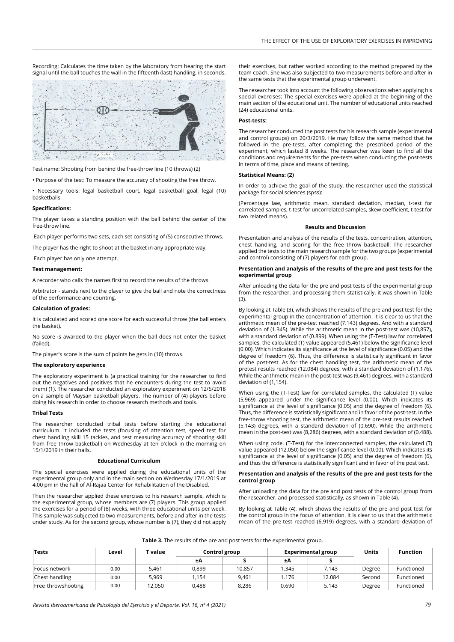Recording: Calculates the time taken by the laboratory from hearing the start signal until the ball touches the wall in the fifteenth (last) handling, in seconds.



Test name: Shooting from behind the free-throw line (10 throws) (2)

• Purpose of the test: To measure the accuracy of shooting the free throw.

• Necessary tools: legal basketball court, legal basketball goal, legal (10) basketballs

#### **Specifications:**

The player takes a standing position with the ball behind the center of the free-throw line.

Each player performs two sets, each set consisting of (5) consecutive throws.

The player has the right to shoot at the basket in any appropriate way.

Each player has only one attempt.

# **Test management:**

A recorder who calls the names first to record the results of the throws.

Arbitrator - stands next to the player to give the ball and note the correctness of the performance and counting.

#### **Calculation of grades:**

It is calculated and scored one score for each successful throw (the ball enters the basket).

No score is awarded to the player when the ball does not enter the basket (failed).

The player's score is the sum of points he gets in (10) throws.

#### **The exploratory experience**

The exploratory experiment is (a practical training for the researcher to find out the negatives and positives that he encounters during the test to avoid them) (1). The researcher conducted an exploratory experiment on 12/5/2018 on a sample of Maysan basketball players. The number of (4) players before doing his research in order to choose research methods and tools.

## **Tribal Tests**

The researcher conducted tribal tests before starting the educational curriculum. It included the tests (focusing of attention test, speed test for chest handling skill 15 tackles, and test measuring accuracy of shooting skill from free throw basketball) on Wednesday at ten o'clock in the morning on 15/1/2019 in their halls.

#### **Educational Curriculum**

The special exercises were applied during the educational units of the experimental group only and in the main section on Wednesday 17/1/2019 at 4:00 pm in the hall of Al-Rajaa Center for Rehabilitation of the Disabled.

Then the researcher applied these exercises to his research sample, which is the experimental group, whose members are (7) players. This group applied the exercises for a period of (8) weeks, with three educational units per week. This sample was subjected to two measurements, before and after in the tests under study. As for the second group, whose number is (7), they did not apply their exercises, but rather worked according to the method prepared by the team coach. She was also subjected to two measurements before and after in the same tests that the experimental group underwent.

The researcher took into account the following observations when applying his special exercises: The special exercises were applied at the beginning of the main section of the educational unit. The number of educational units reached (24) educational units.

# **Post-tests:**

The researcher conducted the post tests for his research sample (experimental and control groups) on 20/3/2019. He may follow the same method that he followed in the pre-tests, after completing the prescribed period of the experiment, which lasted 8 weeks. The researcher was keen to find all the conditions and requirements for the pre-tests when conducting the post-tests in terms of time, place and means of testing.

#### **Statistical Means: (2)**

In order to achieve the goal of the study, the researcher used the statistical package for social sciences (spss):

(Percentage law, arithmetic mean, standard deviation, median, t-test for correlated samples, t-test for uncorrelated samples, skew coefficient, t-test for two related means).

#### **Results and Discussion**

Presentation and analysis of the results of the tests, concentration, attention, chest handling, and scoring for the free throw basketball: The researcher applied the tests to the main research sample for the two groups (experimental and control) consisting of (7) players for each group.

#### **Presentation and analysis of the results of the pre and post tests for the experimental group**

After unloading the data for the pre and post tests of the experimental group from the researcher, and processing them statistically, it was shown in Table (3).

By looking at Table (3), which shows the results of the pre and post test for the experimental group in the concentration of attention. It is clear to us that the arithmetic mean of the pre-test reached (7.143) degrees. And with a standard deviation of (1.345). While the arithmetic mean in the post-test was (10,857), with a standard deviation of (0.899). When using the (T-Test) law for correlated samples, the calculated (T) value appeared (5,461) below the significance level (0.00). Which indicates its significance at the level of significance (0.05) and the degree of freedom (6). Thus, the difference is statistically significant in favor of the post-test. As for the chest handling test, the arithmetic mean of the pretest results reached (12.084) degrees, with a standard deviation of (1.176). While the arithmetic mean in the post-test was (9,461) degrees, with a standard deviation of (1,154).

When using the (T-Test) law for correlated samples, the calculated (T) value (5,969) appeared under the significance level (0.00). Which indicates its significance at the level of significance (0.05) and the degree of freedom (6). Thus, the difference is statistically significant and in favor of the post-test. In the free-throw shooting test, the arithmetic mean of the pre-test results reached (5.143) degrees, with a standard deviation of (0.690). While the arithmetic mean in the post-test was (8,286) degrees, with a standard deviation of (0.488).

When using code. (T-Test) for the interconnected samples, the calculated (T) value appeared (12,050) below the significance level (0.00). Which indicates its significance at the level of significance (0.05) and the degree of freedom (6), and thus the difference is statistically significant and in favor of the post test.

# **Presentation and analysis of the results of the pre and post tests for the control group**

After unloading the data for the pre and post tests of the control group from the researcher. and processed statistically, as shown in Table (4).

By looking at Table (4), which shows the results of the pre and post test for the control group in the focus of attention. It is clear to us that the arithmetic mean of the pre-test reached (6.919) degrees, with a standard deviation of

| Table 3. The results of the pre and post tests for the experimental group. |  |  |  |
|----------------------------------------------------------------------------|--|--|--|
|----------------------------------------------------------------------------|--|--|--|

| Tests              | Level |        | T value | Control group |       | Experimental group |        | Units      | <b>Function</b> |
|--------------------|-------|--------|---------|---------------|-------|--------------------|--------|------------|-----------------|
|                    |       |        | ±Α      |               | ±Α    |                    |        |            |                 |
| Focus network      | 0.00  | 5,461  | 0,899   | 10.857        | 1.345 | 7.143              | Degree | Functioned |                 |
| Chest handling     | 0.00  | 5.969  | .154    | 9.461         | 1.176 | 12.084             | Second | Functioned |                 |
| Free throwshooting | 0.00  | 12.050 | 0.488   | 8.286         | 0.690 | 5.143              | Degree | Functioned |                 |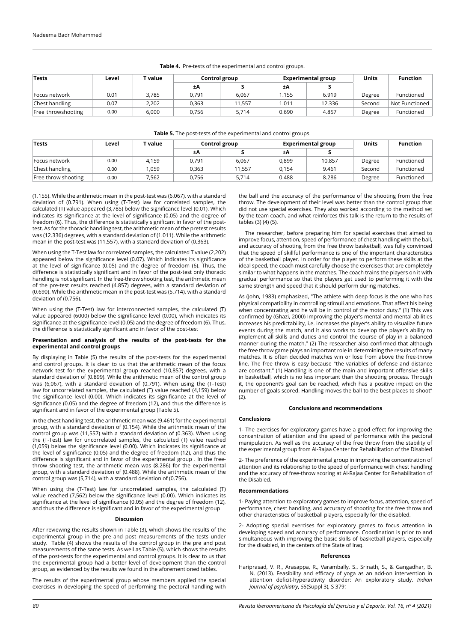| <b>Tests</b>       | Level | $\mathbf{\tau}$ value | Control group |        |       | <b>Experimental group</b> | <b>Units</b> | <b>Function</b> |
|--------------------|-------|-----------------------|---------------|--------|-------|---------------------------|--------------|-----------------|
|                    |       |                       | ±Α            |        | ±Α    |                           |              |                 |
| Focus network      | 0.01  | 3,785                 | 0,791         | 6,067  | .155  | 6.919                     | Degree       | Functioned      |
| Chest handling     | 0.07  | 2,202                 | 0,363         | 11.557 | 1.011 | 12.336                    | Second       | Not Functioned  |
| Free throwshooting | 0.00  | 6,000                 | 0,756         | 5,714  | 0.690 | 4.857                     | Degree       | Functioned      |

## **Table 4.** Pre-tests of the experimental and control groups.

# **Table 5.** The post-tests of the experimental and control groups.

| <b>Tests</b>        | Level | ' value | Control group |        |       | <b>Experimental group</b> | <b>Units</b> | <b>Function</b> |
|---------------------|-------|---------|---------------|--------|-------|---------------------------|--------------|-----------------|
|                     |       |         | ±Α            |        | ±Α    |                           |              |                 |
| Focus network       | 0.00  | 4.159   | 0.791         | 6,067  | 0,899 | 10.857                    | Degree       | Functioned      |
| Chest handling      | 0.00  | l.059   | 0.363         | 11.557 | 0.154 | 9.461                     | Second       | Functioned      |
| Free throw shooting | 0.00  | 7.562   | 0.756         | 5.714  | 0.488 | 8.286                     | Degree       | Functioned      |

(1.155). While the arithmetic mean in the post-test was (6,067), with a standard deviation of (0.791). When using (T-Test) law for correlated samples, the calculated (T) value appeared (3,785) below the significance level (0.01). Which indicates its significance at the level of significance (0.05) and the degree of freedom (6). Thus, the difference is statistically significant in favor of the posttest. As for the thoracic handling test, the arithmetic mean of the pretest results was (12.336) degrees, with a standard deviation of (1.011). While the arithmetic mean in the post-test was (11,557), with a standard deviation of (0.363).

When using the T-Test law for correlated samples, the calculated T value (2,202) appeared below the significance level (0.07). Which indicates its significance at the level of significance (0.05) and the degree of freedom (6). Thus, the difference is statistically significant and in favor of the post-test only thoracic handling is not significant. In the free-throw shooting test, the arithmetic mean of the pre-test results reached (4.857) degrees, with a standard deviation of (0.690). While the arithmetic mean in the post-test was (5,714), with a standard deviation of (0.756).

When using the (T-Test) law for interconnected samples, the calculated (T) value appeared (6000) below the significance level (0.00), which indicates its significance at the significance level (0.05) and the degree of freedom (6). Thus, the difference is statistically significant and in favor of the post-test

## **Presentation and analysis of the results of the post-tests for the experimental and control groups**

By displaying in Table (5) the results of the post-tests for the experimental and control groups. It is clear to us that the arithmetic mean of the focus network test for the experimental group reached (10,857) degrees, with a standard deviation of (0.899). While the arithmetic mean of the control group was (6,067), with a standard deviation of (0.791). When using the (T-Test) law for uncorrelated samples, the calculated (T) value reached (4,159) below the significance level (0.00). Which indicates its significance at the level of significance (0.05) and the degree of freedom (12), and thus the difference is significant and in favor of the experimental group (Table 5).

In the chest handling test, the arithmetic mean was (9.461) for the experimental group, with a standard deviation of (0.154). While the arithmetic mean of the control group was (11,557) with a standard deviation of (0.363). When using the (T-Test) law for uncorrelated samples, the calculated (T) value reached (1,059) below the significance level (0.00). Which indicates its significance at the level of significance (0.05) and the degree of freedom (12), and thus the difference is significant and in favor of the experimental group . In the freethrow shooting test, the arithmetic mean was (8.286) for the experimental group, with a standard deviation of (0.488). While the arithmetic mean of the control group was (5,714), with a standard deviation of (0.756).

When using the (T-Test) law for uncorrelated samples, the calculated (T) value reached (7,562) below the significance level (0.00). Which indicates its significance at the level of significance (0.05) and the degree of freedom (12), and thus the difference is significant and in favor of the experimental group

#### **Discussion**

After reviewing the results shown in Table (3), which shows the results of the experimental group in the pre and post measurements of the tests under study. Table (4) shows the results of the control group in the pre and post measurements of the same tests. As well as Table (5), which shows the results of the post-tests for the experimental and control groups. It is clear to us that the experimental group had a better level of development than the control group, as evidenced by the results we found in the aforementioned tables.

The results of the experimental group whose members applied the special exercises in developing the speed of performing the pectoral handling with the ball and the accuracy of the performance of the shooting from the free throw. The development of their level was better than the control group that did not use special exercises. They also worked according to the method set by the team coach, and what reinforces this talk is the return to the results of tables (3) (4) (5).

 The researcher, before preparing him for special exercises that aimed to improve focus, attention, speed of performance of chest handling with the ball, and accuracy of shooting from the free throw basketball, was fully convinced that the speed of skillful performance is one of the important characteristics of the basketball player. In order for the player to perform these skills at the ideal speed, the coach must carefully choose the exercises that are completely similar to what happens in the matches. The coach trains the players on it with gradual performance so that the players get used to performing it with the same strength and speed that it should perform during matches.

As (John, 1983) emphasized, "The athlete with deep focus is the one who has physical compatibility in controlling stimuli and emotions. That affect his being when concentrating and he will be in control of the motor duty." (1) This was confirmed by (Ghazi, 2000) Improving the player's mental and mental abilities increases his predictability, i.e. increases the player's ability to visualize future events during the match, and it also works to develop the player's ability to implement all skills and duties and control the course of play in a balanced manner during the match." (2) The researcher also confirmed that although the free throw game plays an important role in determining the results of many matches. It is often decided matches win or lose from above the free-throw line. The free throw is easy because "the variables of defense and distance are constant." (1) Handling is one of the main and important offensive skills in basketball, which is no less important than the shooting process. Through it, the opponent's goal can be reached, which has a positive impact on the number of goals scored. Handling moves the ball to the best places to shoot"  $(2)$ 

## **Conclusions and recommendations**

## **Conclusions**

1- The exercises for exploratory games have a good effect for improving the concentration of attention and the speed of performance with the pectoral manipulation. As well as the accuracy of the free throw from the stability of the experimental group from Al-Rajaa Center for Rehabilitation of the Disabled

2- The preference of the experimental group in improving the concentration of attention and its relationship to the speed of performance with chest handling and the accuracy of free-throw scoring at Al-Rajaa Center for Rehabilitation of the Disabled.

#### **Recommendations**

1- Paying attention to exploratory games to improve focus, attention, speed of performance, chest handling, and accuracy of shooting for the free throw and other characteristics of basketball players, especially for the disabled.

2- Adopting special exercises for exploratory games to focus attention in developing speed and accuracy of performance. Coordination is prior to and simultaneous with improving the basic skills of basketball players, especially for the disabled, in the centers of the State of Iraq.

#### **References**

Hariprasad, V. R., Arasappa, R., Varambally, S., Srinath, S., & Gangadhar, B. N. (2013). Feasibility and efficacy of yoga as an add-on intervention in attention deficit-hyperactivity disorder: An exploratory study. *Indian journal of psychiatry*, *55*(Suppl 3), S 379.